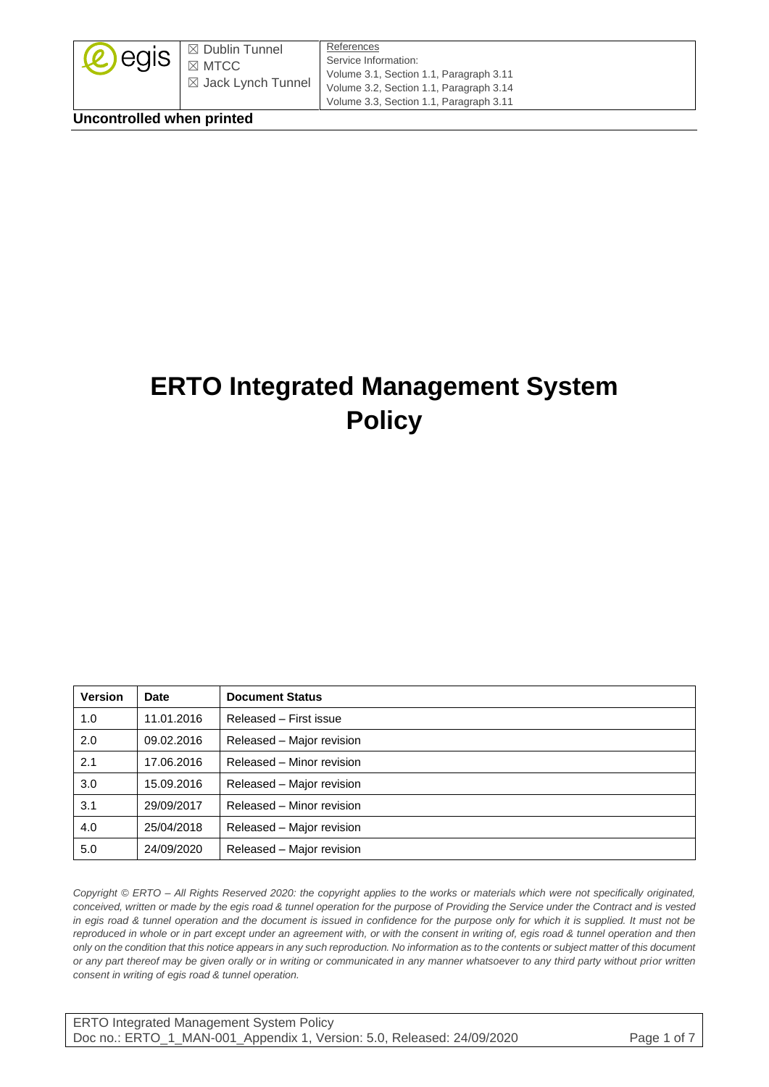| $\mathcal{L}$ egis | $\mathsf{I} \boxtimes$ Dublin Tunnel<br>$\boxtimes$ MTCC<br>$\boxtimes$ Jack Lynch Tunnel | References<br>Service Information:<br>Volume 3.1, Section 1.1, Paragraph 3.11<br>Volume 3.2, Section 1.1, Paragraph 3.14<br>Volume 3.3, Section 1.1, Paragraph 3.11 |
|--------------------|-------------------------------------------------------------------------------------------|---------------------------------------------------------------------------------------------------------------------------------------------------------------------|
|--------------------|-------------------------------------------------------------------------------------------|---------------------------------------------------------------------------------------------------------------------------------------------------------------------|

**Uncontrolled when printed**

# **ERTO Integrated Management System Policy**

| <b>Version</b> | Date       | <b>Document Status</b>    |
|----------------|------------|---------------------------|
| 1.0            | 11.01.2016 | Released - First issue    |
| 2.0            | 09.02.2016 | Released - Major revision |
| 2.1            | 17.06.2016 | Released - Minor revision |
| 3.0            | 15.09.2016 | Released - Major revision |
| 3.1            | 29/09/2017 | Released - Minor revision |
| 4.0            | 25/04/2018 | Released - Major revision |
| 5.0            | 24/09/2020 | Released - Major revision |

*Copyright © ERTO – All Rights Reserved 2020: the copyright applies to the works or materials which were not specifically originated, conceived, written or made by the egis road & tunnel operation for the purpose of Providing the Service under the Contract and is vested in egis road & tunnel operation and the document is issued in confidence for the purpose only for which it is supplied. It must not be reproduced in whole or in part except under an agreement with, or with the consent in writing of, egis road & tunnel operation and then only on the condition that this notice appears in any such reproduction. No information as to the contents or subject matter of this document or any part thereof may be given orally or in writing or communicated in any manner whatsoever to any third party without prior written consent in writing of egis road & tunnel operation.*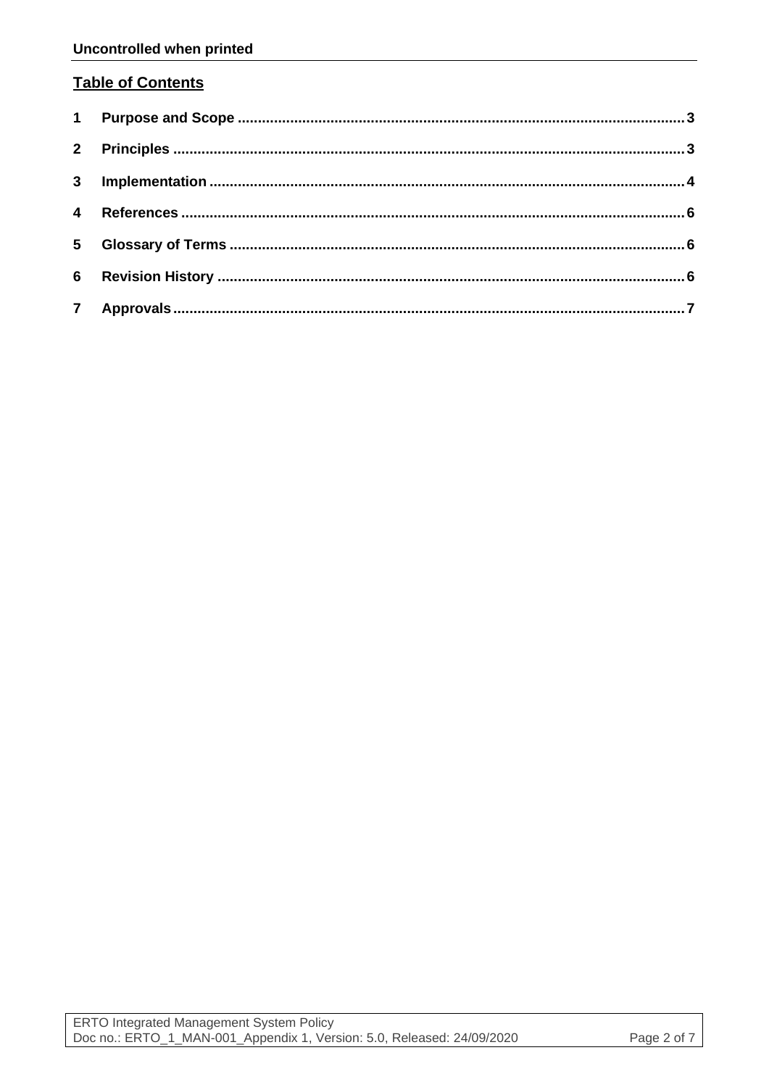## **Table of Contents**

| $5\overline{)}$ |  |
|-----------------|--|
|                 |  |
|                 |  |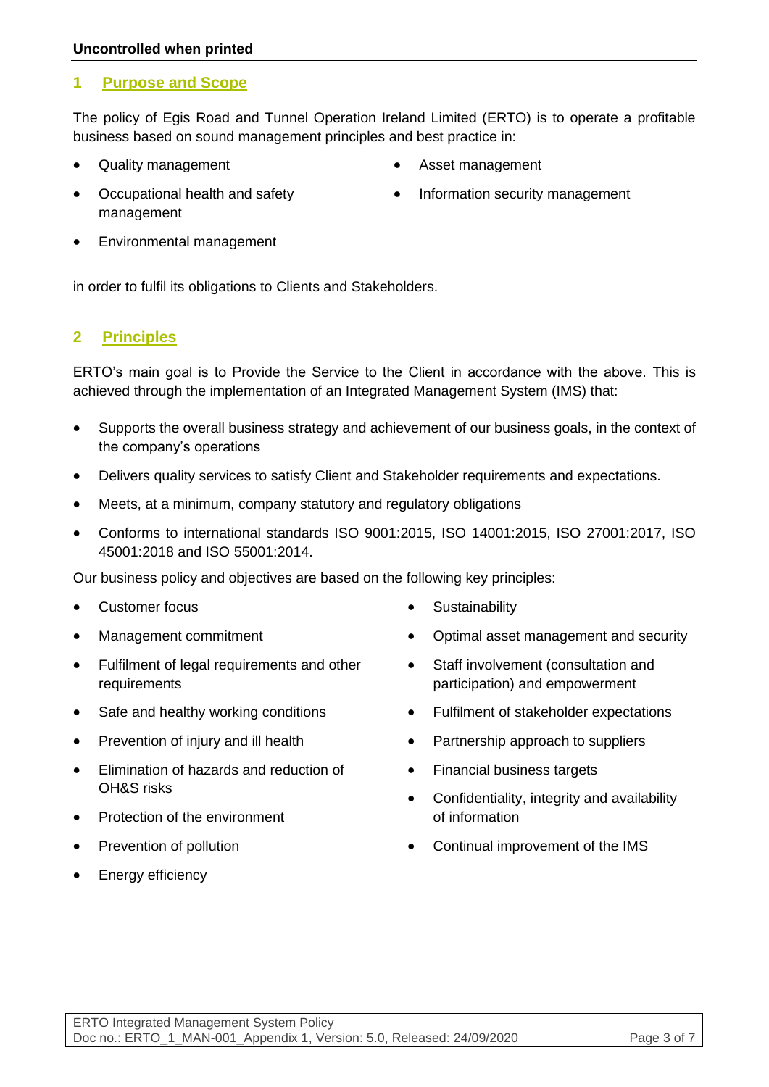#### <span id="page-2-0"></span>**1 Purpose and Scope**

The policy of Egis Road and Tunnel Operation Ireland Limited (ERTO) is to operate a profitable business based on sound management principles and best practice in:

• Quality management

- Asset management
- Occupational health and safety management
- Information security management

• Environmental management

in order to fulfil its obligations to Clients and Stakeholders.

#### <span id="page-2-1"></span>**2 Principles**

ERTO's main goal is to Provide the Service to the Client in accordance with the above. This is achieved through the implementation of an Integrated Management System (IMS) that:

- Supports the overall business strategy and achievement of our business goals, in the context of the company's operations
- Delivers quality services to satisfy Client and Stakeholder requirements and expectations.
- Meets, at a minimum, company statutory and regulatory obligations
- Conforms to international standards ISO 9001:2015, ISO 14001:2015, ISO 27001:2017, ISO 45001:2018 and ISO 55001:2014.

Our business policy and objectives are based on the following key principles:

- Customer focus
- Management commitment
- Fulfilment of legal requirements and other requirements
- Safe and healthy working conditions
- Prevention of injury and ill health
- Elimination of hazards and reduction of OH&S risks
- Protection of the environment
- Prevention of pollution
- Energy efficiency
- **Sustainability**
- Optimal asset management and security
- Staff involvement (consultation and participation) and empowerment
- Fulfilment of stakeholder expectations
- Partnership approach to suppliers
- Financial business targets
- Confidentiality, integrity and availability of information
- Continual improvement of the IMS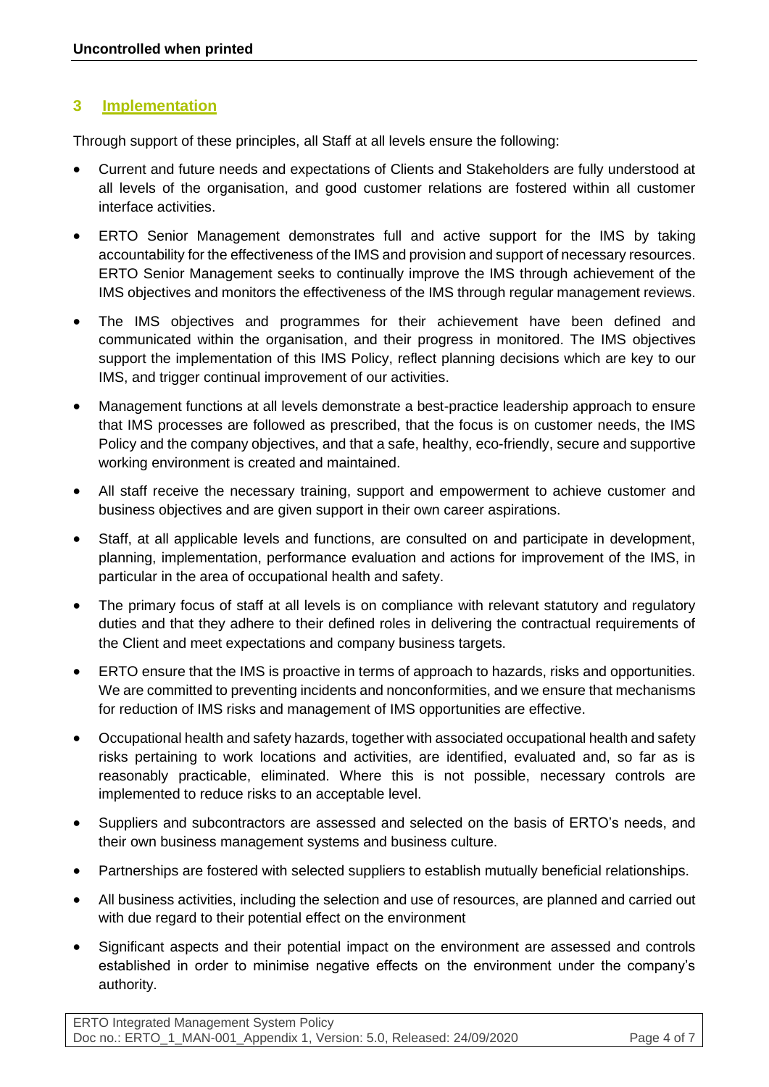#### <span id="page-3-0"></span>**3 Implementation**

Through support of these principles, all Staff at all levels ensure the following:

- Current and future needs and expectations of Clients and Stakeholders are fully understood at all levels of the organisation, and good customer relations are fostered within all customer interface activities.
- ERTO Senior Management demonstrates full and active support for the IMS by taking accountability for the effectiveness of the IMS and provision and support of necessary resources. ERTO Senior Management seeks to continually improve the IMS through achievement of the IMS objectives and monitors the effectiveness of the IMS through regular management reviews.
- The IMS objectives and programmes for their achievement have been defined and communicated within the organisation, and their progress in monitored. The IMS objectives support the implementation of this IMS Policy, reflect planning decisions which are key to our IMS, and trigger continual improvement of our activities.
- Management functions at all levels demonstrate a best-practice leadership approach to ensure that IMS processes are followed as prescribed, that the focus is on customer needs, the IMS Policy and the company objectives, and that a safe, healthy, eco-friendly, secure and supportive working environment is created and maintained.
- All staff receive the necessary training, support and empowerment to achieve customer and business objectives and are given support in their own career aspirations.
- Staff, at all applicable levels and functions, are consulted on and participate in development, planning, implementation, performance evaluation and actions for improvement of the IMS, in particular in the area of occupational health and safety.
- The primary focus of staff at all levels is on compliance with relevant statutory and regulatory duties and that they adhere to their defined roles in delivering the contractual requirements of the Client and meet expectations and company business targets.
- ERTO ensure that the IMS is proactive in terms of approach to hazards, risks and opportunities. We are committed to preventing incidents and nonconformities, and we ensure that mechanisms for reduction of IMS risks and management of IMS opportunities are effective.
- Occupational health and safety hazards, together with associated occupational health and safety risks pertaining to work locations and activities, are identified, evaluated and, so far as is reasonably practicable, eliminated. Where this is not possible, necessary controls are implemented to reduce risks to an acceptable level.
- Suppliers and subcontractors are assessed and selected on the basis of ERTO's needs, and their own business management systems and business culture.
- Partnerships are fostered with selected suppliers to establish mutually beneficial relationships.
- All business activities, including the selection and use of resources, are planned and carried out with due regard to their potential effect on the environment
- Significant aspects and their potential impact on the environment are assessed and controls established in order to minimise negative effects on the environment under the company's authority.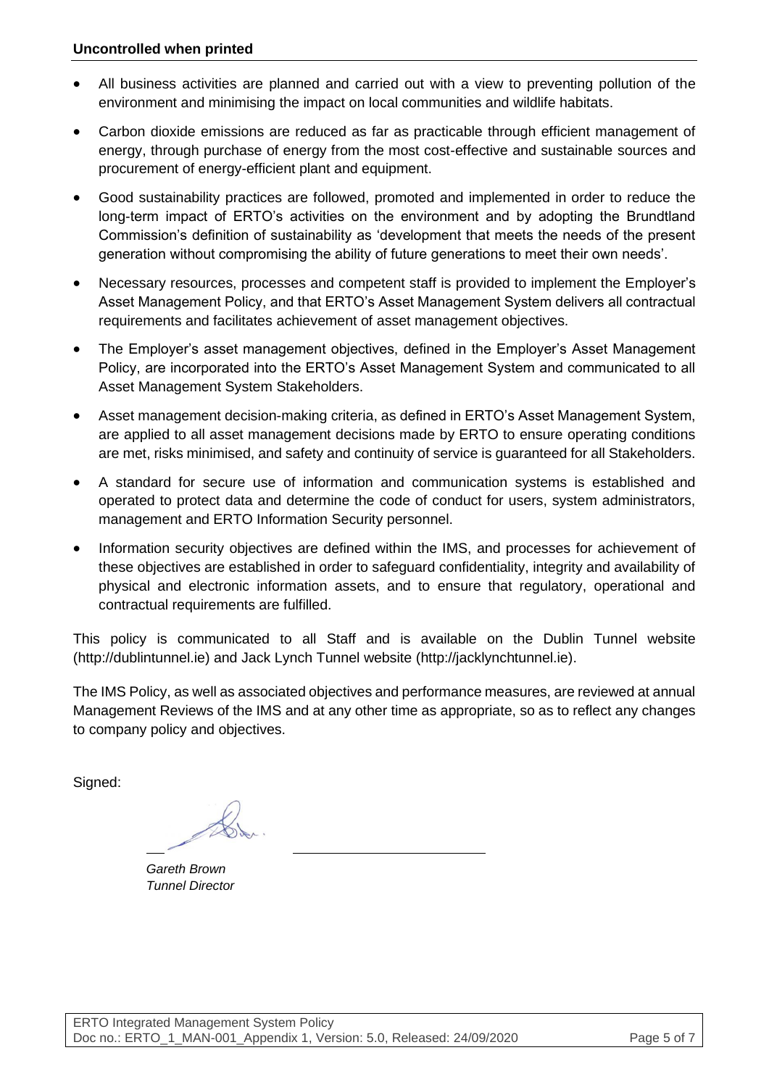- All business activities are planned and carried out with a view to preventing pollution of the environment and minimising the impact on local communities and wildlife habitats.
- Carbon dioxide emissions are reduced as far as practicable through efficient management of energy, through purchase of energy from the most cost-effective and sustainable sources and procurement of energy-efficient plant and equipment.
- Good sustainability practices are followed, promoted and implemented in order to reduce the long-term impact of ERTO's activities on the environment and by adopting the Brundtland Commission's definition of sustainability as 'development that meets the needs of the present generation without compromising the ability of future generations to meet their own needs'.
- Necessary resources, processes and competent staff is provided to implement the Employer's Asset Management Policy, and that ERTO's Asset Management System delivers all contractual requirements and facilitates achievement of asset management objectives.
- The Employer's asset management objectives, defined in the Employer's Asset Management Policy, are incorporated into the ERTO's Asset Management System and communicated to all Asset Management System Stakeholders.
- Asset management decision-making criteria, as defined in ERTO's Asset Management System, are applied to all asset management decisions made by ERTO to ensure operating conditions are met, risks minimised, and safety and continuity of service is guaranteed for all Stakeholders.
- A standard for secure use of information and communication systems is established and operated to protect data and determine the code of conduct for users, system administrators, management and ERTO Information Security personnel.
- Information security objectives are defined within the IMS, and processes for achievement of these objectives are established in order to safeguard confidentiality, integrity and availability of physical and electronic information assets, and to ensure that regulatory, operational and contractual requirements are fulfilled.

This policy is communicated to all Staff and is available on the Dublin Tunnel website [\(http://dublintunnel.ie\)](http://dublintunnel.ie/) and Jack Lynch Tunnel website [\(http://jacklynchtunnel.ie\)](http://jacklynchtunnel.ie/).

The IMS Policy, as well as associated objectives and performance measures, are reviewed at annual Management Reviews of the IMS and at any other time as appropriate, so as to reflect any changes to company policy and objectives.

Signed:

*Gareth Brown Tunnel Director*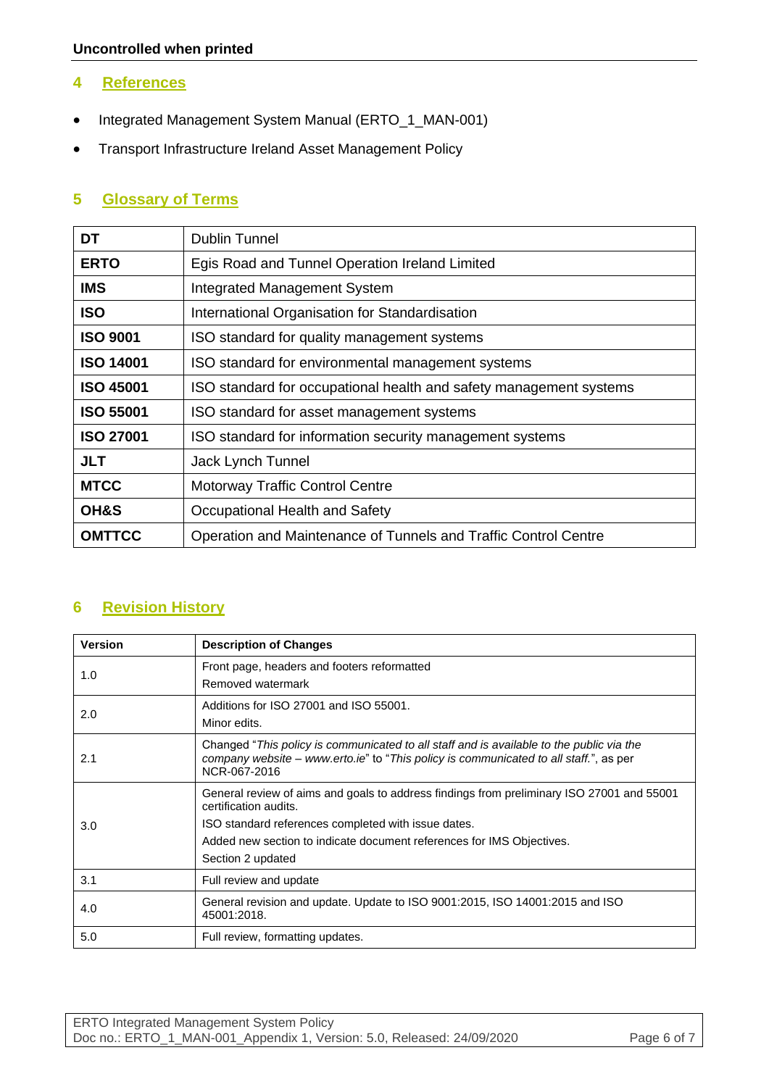#### <span id="page-5-0"></span>**4 References**

- Integrated Management System Manual (ERTO\_1\_MAN-001)
- Transport Infrastructure Ireland Asset Management Policy

# <span id="page-5-1"></span>**5 Glossary of Terms**

| DT               | <b>Dublin Tunnel</b>                                               |  |
|------------------|--------------------------------------------------------------------|--|
| <b>ERTO</b>      | Egis Road and Tunnel Operation Ireland Limited                     |  |
| <b>IMS</b>       | <b>Integrated Management System</b>                                |  |
| <b>ISO</b>       | International Organisation for Standardisation                     |  |
| <b>ISO 9001</b>  | ISO standard for quality management systems                        |  |
| <b>ISO 14001</b> | ISO standard for environmental management systems                  |  |
| <b>ISO 45001</b> | ISO standard for occupational health and safety management systems |  |
| <b>ISO 55001</b> | ISO standard for asset management systems                          |  |
| <b>ISO 27001</b> | ISO standard for information security management systems           |  |
| <b>JLT</b>       | Jack Lynch Tunnel                                                  |  |
| <b>MTCC</b>      | <b>Motorway Traffic Control Centre</b>                             |  |
| OH&S             | Occupational Health and Safety                                     |  |
| <b>OMTTCC</b>    | Operation and Maintenance of Tunnels and Traffic Control Centre    |  |

### <span id="page-5-2"></span>**6 Revision History**

| <b>Version</b> | <b>Description of Changes</b>                                                                                                                                                                                                                                           |  |
|----------------|-------------------------------------------------------------------------------------------------------------------------------------------------------------------------------------------------------------------------------------------------------------------------|--|
| 1.0            | Front page, headers and footers reformatted<br>Removed watermark                                                                                                                                                                                                        |  |
| 2.0            | Additions for ISO 27001 and ISO 55001.<br>Minor edits.                                                                                                                                                                                                                  |  |
| 2.1            | Changed "This policy is communicated to all staff and is available to the public via the<br>company website - www.erto.ie" to "This policy is communicated to all staff.", as per<br>NCR-067-2016                                                                       |  |
| 3.0            | General review of aims and goals to address findings from preliminary ISO 27001 and 55001<br>certification audits.<br>ISO standard references completed with issue dates.<br>Added new section to indicate document references for IMS Objectives.<br>Section 2 updated |  |
| 3.1            | Full review and update                                                                                                                                                                                                                                                  |  |
| 4.0            | General revision and update. Update to ISO 9001:2015, ISO 14001:2015 and ISO<br>45001:2018.                                                                                                                                                                             |  |
| 5.0            | Full review, formatting updates.                                                                                                                                                                                                                                        |  |